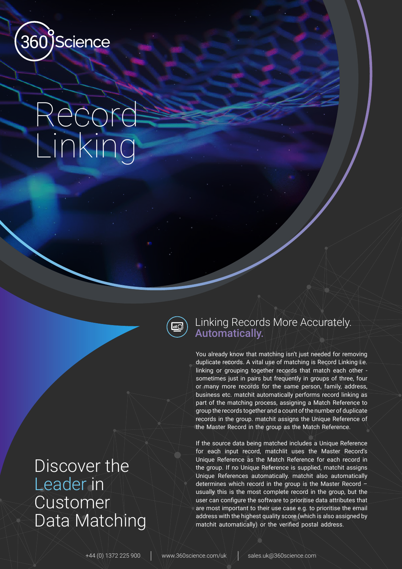

# Record Linking

 $\overline{\text{mC}}$ 

### Linking Records More Accurately. Automatically.

You already know that matching isn't just needed for removing duplicate records. A vital use of matching is Record Linking i.e. linking or grouping together records that match each other sometimes just in pairs but frequently in groups of three, four or many more records for the same person, family, address, business etc. matchit automatically performs record linking as part of the matching process, assigning a Match Reference to group the records together and a count of the number of duplicate records in the group. matchit assigns the Unique Reference of the Master Record in the group as the Match Reference.

If the source data being matched includes a Unique Reference for each input record, matchlit uses the Master Record's Unique Reference as the Match Reference for each record in the group. If no Unique Reference is supplied, matchit assigns Unique References automatically. matchit also automatically determines which record in the group is the Master Record – usually this is the most complete record in the group, but the user can configure the software to prioritise data attributes that are most important to their use case e.g. to prioritise the email address with the highest quality score (which is also assigned by matchit automatically) or the verified postal address.

## Discover the Leader in Customer Data Matching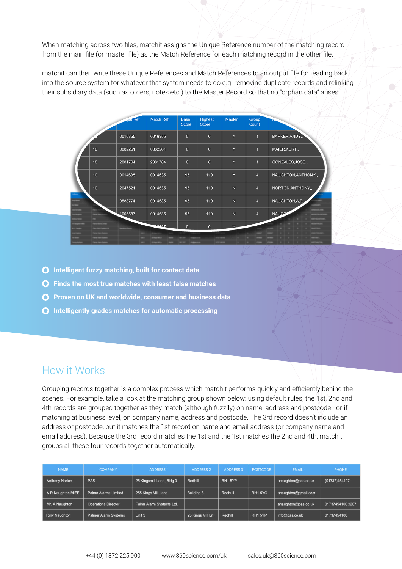When matching across two files, matchit assigns the Unique Reference number of the matching record from the main file (or master file) as the Match Reference for each matching record in the other file.

matchit can then write these Unique References and Match References to an output file for reading back into the source system for whatever that system needs to do e.g. removing duplicate records and relinking their subsidiary data (such as orders, notes etc.) to the Master Record so that no "orphan data" arises.

|    | <b>Lue Ref</b>                           | <b>Match Ref</b> |         | <b>Base</b><br><b>Score</b> | <b>Highest</b><br><b>Score</b>     |              | <b>Master</b>  | Group<br>Count |                     |   |  |  |  |  |
|----|------------------------------------------|------------------|---------|-----------------------------|------------------------------------|--------------|----------------|----------------|---------------------|---|--|--|--|--|
|    | 0016355                                  | 0016355          |         | $\mathbf 0$                 |                                    | $\mathbf{0}$ | Ÿ              | $\overline{1}$ | BARKER, ANDY,       |   |  |  |  |  |
| 10 | 0882261<br>0882261<br>2001764<br>2001764 |                  |         | $\mathbf 0$                 | Ÿ<br>$\mathbf 0$<br>$\overline{1}$ |              |                |                | MAIER, KURT,,       |   |  |  |  |  |
| 10 |                                          |                  |         | $\mathbf 0$                 |                                    | $\mathbf 0$  | Y              | $\overline{1}$ | GONZALES, JOSE.,    |   |  |  |  |  |
| 10 | 0014635                                  | 0014635          |         | 95                          |                                    | 110          | Y              | $\overline{4}$ | NAUGHTON, ANTHONY,, |   |  |  |  |  |
| 10 | 2047521                                  |                  | 0014635 |                             |                                    | 110          | N              | $\overline{4}$ | NORTON, ANTHONY,    |   |  |  |  |  |
|    | 0588774                                  | 0014635          |         | 95                          |                                    | 110          | N              | $\overline{4}$ | NAUGHTON, A, R,     |   |  |  |  |  |
|    | 1005587                                  | 0014635          |         | 95                          |                                    | 110          | $\overline{N}$ | $\overline{4}$ | <b>NAUGT</b>        |   |  |  |  |  |
|    |                                          |                  | 0527    | $\mathbf{0}$                |                                    | $\mathbf{0}$ | $\vee$         |                |                     |   |  |  |  |  |
|    |                                          |                  |         |                             |                                    |              |                |                |                     |   |  |  |  |  |
|    |                                          |                  |         |                             |                                    |              |                |                |                     |   |  |  |  |  |
|    |                                          |                  |         |                             |                                    |              |                |                |                     |   |  |  |  |  |
|    |                                          |                  |         |                             |                                    |              |                | $\sim$         |                     | . |  |  |  |  |

- **Intelligent fuzzy matching, built for contact data**
- **Finds the most true matches with least false matches**
- **Proven on UK and worldwide, consumer and business data**
- **Intelligently grades matches for automatic processing**

### How it Works

Grouping records together is a complex process which matchit performs quickly and efficiently behind the scenes. For example, take a look at the matching group shown below: using default rules, the 1st, 2nd and 4th records are grouped together as they match (although fuzzily) on name, address and postcode - or if matching at business level, on company name, address and postcode. The 3rd record doesn't include an address or postcode, but it matches the 1st record on name and email address (or company name and email address). Because the 3rd record matches the 1st and the 1st matches the 2nd and 4th, matchit groups all these four records together automatically.

| <b>NAME</b>           | <b>COMPANY</b>              | <b>ADDRESS1</b>           | <b>ADDRESS 2</b> | <b>ADDRESS 3</b> | <b>POSTCODE</b> | <b>EMAIL</b>        | <b>PHONE</b>     |
|-----------------------|-----------------------------|---------------------------|------------------|------------------|-----------------|---------------------|------------------|
| <b>Anthony Norton</b> | <b>PAS</b>                  | 25 Kingsmill Lane, Bldg 3 | Redhill          | RH1 5YP          |                 | anaughton@pas.co.uk | (01737)454107    |
| A R Naughton MIEE     | Palma Alarms Limited        | 255 Kings Mill Lane       | Building 3       | Redhull          | RH1 5YO         | anaughton@gmail.com |                  |
| Mr. A Naughton        | <b>Operations Director</b>  | Palmr Alarm Systems Ltd.  |                  |                  |                 | anaughton@pas.co.uk | 01737454100 x207 |
| <b>Tony Naughton</b>  | <b>Palmer Alarm Systems</b> | Unit 3                    | 25 Kings Mill Ln | Redhill          | RH1 5YP         | info@pas.co.uk      | 01737454100      |